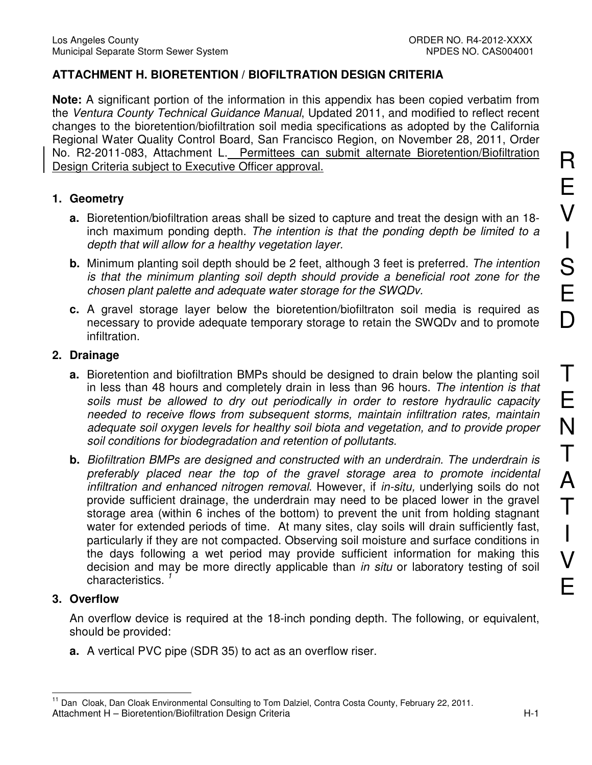# **ATTACHMENT H. BIORETENTION / BIOFILTRATION DESIGN CRITERIA**

**Note:** A significant portion of the information in this appendix has been copied verbatim from the Ventura County Technical Guidance Manual, Updated 2011, and modified to reflect recent changes to the bioretention/biofiltration soil media specifications as adopted by the California Regional Water Quality Control Board, San Francisco Region, on November 28, 2011, Order No. R2-2011-083, Attachment L. Permittees can submit alternate Bioretention/Biofiltration Design Criteria subject to Executive Officer approval.

# **1. Geometry**

- **a.** Bioretention/biofiltration areas shall be sized to capture and treat the design with an 18 inch maximum ponding depth. The intention is that the ponding depth be limited to a depth that will allow for a healthy vegetation layer.
- **b.** Minimum planting soil depth should be 2 feet, although 3 feet is preferred. The intention is that the minimum planting soil depth should provide a beneficial root zone for the chosen plant palette and adequate water storage for the SWQDv.
- **c.** A gravel storage layer below the bioretention/biofiltraton soil media is required as necessary to provide adequate temporary storage to retain the SWQDv and to promote infiltration.

### **2. Drainage**

- **a.** Bioretention and biofiltration BMPs should be designed to drain below the planting soil in less than 48 hours and completely drain in less than 96 hours. The intention is that soils must be allowed to dry out periodically in order to restore hydraulic capacity needed to receive flows from subsequent storms, maintain infiltration rates, maintain adequate soil oxygen levels for healthy soil biota and vegetation, and to provide proper soil conditions for biodegradation and retention of pollutants.
- **b.** Biofiltration BMPs are designed and constructed with an underdrain. The underdrain is preferably placed near the top of the gravel storage area to promote incidental infiltration and enhanced nitrogen removal. However, if in-situ, underlying soils do not provide sufficient drainage, the underdrain may need to be placed lower in the gravel storage area (within 6 inches of the bottom) to prevent the unit from holding stagnant water for extended periods of time. At many sites, clay soils will drain sufficiently fast, particularly if they are not compacted. Observing soil moisture and surface conditions in the days following a wet period may provide sufficient information for making this decision and may be more directly applicable than *in situ* or laboratory testing of soil characteristics.

# **3. Overflow**

 $\overline{\phantom{a}}$ 

An overflow device is required at the 18-inch ponding depth. The following, or equivalent, should be provided:

**a.** A vertical PVC pipe (SDR 35) to act as an overflow riser.

Attachment H – Bioretention/Biofiltration Design Criteria Herotennics Attachment H – H-1 <sup>11</sup> Dan Cloak, Dan Cloak Environmental Consulting to Tom Dalziel, Contra Costa County, February 22, 2011.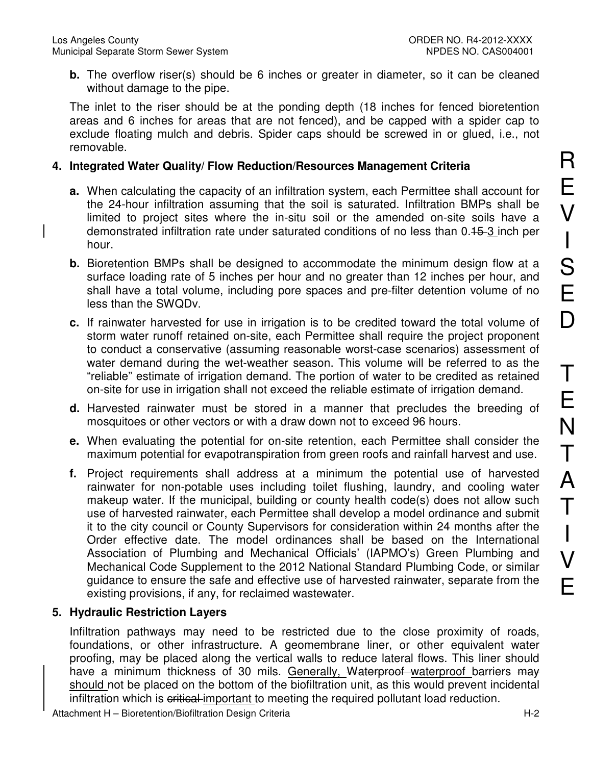**b.** The overflow riser(s) should be 6 inches or greater in diameter, so it can be cleaned without damage to the pipe.

The inlet to the riser should be at the ponding depth (18 inches for fenced bioretention areas and 6 inches for areas that are not fenced), and be capped with a spider cap to exclude floating mulch and debris. Spider caps should be screwed in or glued, i.e., not removable.

### **4. Integrated Water Quality/ Flow Reduction/Resources Management Criteria**

- **a.** When calculating the capacity of an infiltration system, each Permittee shall account for the 24-hour infiltration assuming that the soil is saturated. Infiltration BMPs shall be limited to project sites where the in-situ soil or the amended on-site soils have a demonstrated infiltration rate under saturated conditions of no less than 0.15 3 inch per hour.
- **b.** Bioretention BMPs shall be designed to accommodate the minimum design flow at a surface loading rate of 5 inches per hour and no greater than 12 inches per hour, and shall have a total volume, including pore spaces and pre-filter detention volume of no less than the SWQDv.
- **c.** If rainwater harvested for use in irrigation is to be credited toward the total volume of storm water runoff retained on-site, each Permittee shall require the project proponent to conduct a conservative (assuming reasonable worst-case scenarios) assessment of water demand during the wet-weather season. This volume will be referred to as the "reliable" estimate of irrigation demand. The portion of water to be credited as retained on-site for use in irrigation shall not exceed the reliable estimate of irrigation demand.
- **d.** Harvested rainwater must be stored in a manner that precludes the breeding of mosquitoes or other vectors or with a draw down not to exceed 96 hours.
- **e.** When evaluating the potential for on-site retention, each Permittee shall consider the maximum potential for evapotranspiration from green roofs and rainfall harvest and use.
- **f.** Project requirements shall address at a minimum the potential use of harvested rainwater for non-potable uses including toilet flushing, laundry, and cooling water makeup water. If the municipal, building or county health code(s) does not allow such use of harvested rainwater, each Permittee shall develop a model ordinance and submit it to the city council or County Supervisors for consideration within 24 months after the Order effective date. The model ordinances shall be based on the International Association of Plumbing and Mechanical Officials' (IAPMO's) Green Plumbing and Mechanical Code Supplement to the 2012 National Standard Plumbing Code, or similar guidance to ensure the safe and effective use of harvested rainwater, separate from the existing provisions, if any, for reclaimed wastewater.

# **5. Hydraulic Restriction Layers**

Infiltration pathways may need to be restricted due to the close proximity of roads, foundations, or other infrastructure. A geomembrane liner, or other equivalent water proofing, may be placed along the vertical walls to reduce lateral flows. This liner should have a minimum thickness of 30 mils. Generally, Waterproof-waterproof barriers may should not be placed on the bottom of the biofiltration unit, as this would prevent incidental infiltration which is eritical important to meeting the required pollutant load reduction.

Attachment H – Bioretention/Biofiltration Design Criteria Heraussett Attachment H-2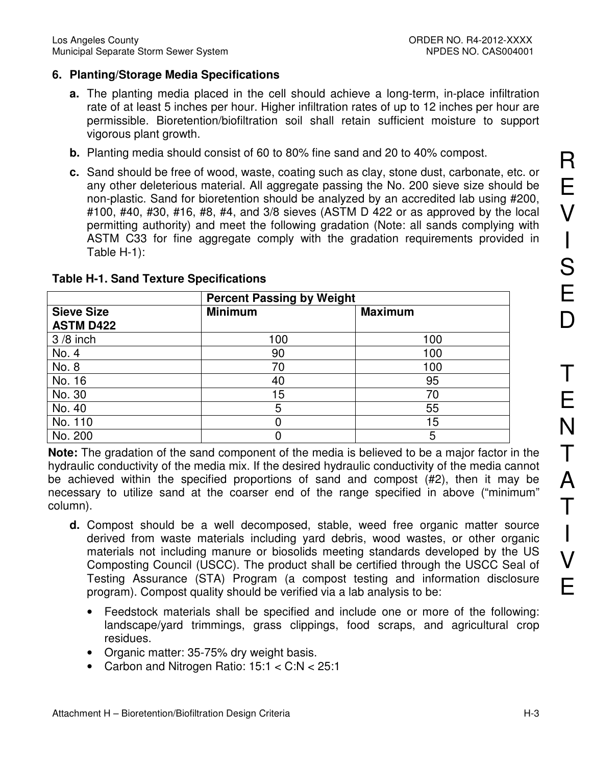# **6. Planting/Storage Media Specifications**

- **a.** The planting media placed in the cell should achieve a long-term, in-place infiltration rate of at least 5 inches per hour. Higher infiltration rates of up to 12 inches per hour are permissible. Bioretention/biofiltration soil shall retain sufficient moisture to support vigorous plant growth.
- **b.** Planting media should consist of 60 to 80% fine sand and 20 to 40% compost.
- **c.** Sand should be free of wood, waste, coating such as clay, stone dust, carbonate, etc. or any other deleterious material. All aggregate passing the No. 200 sieve size should be non-plastic. Sand for bioretention should be analyzed by an accredited lab using #200, #100, #40, #30, #16, #8, #4, and 3/8 sieves (ASTM D 422 or as approved by the local permitting authority) and meet the following gradation (Note: all sands complying with ASTM C33 for fine aggregate comply with the gradation requirements provided in Table H-1):

|                                       | <b>Percent Passing by Weight</b> |                |  |
|---------------------------------------|----------------------------------|----------------|--|
| <b>Sieve Size</b><br><b>ASTM D422</b> | <b>Minimum</b>                   | <b>Maximum</b> |  |
| $3/8$ inch                            | 100                              | 100            |  |
| No. 4                                 | 90                               | 100            |  |
| No. 8                                 | 70                               | 100            |  |
| No. 16                                | 40                               | 95             |  |
| No. 30                                | 15                               | 70             |  |
| No. 40                                | 5                                | 55             |  |
| No. 110                               |                                  | 15             |  |
| No. 200                               |                                  | 5              |  |

### **Table H-1. Sand Texture Specifications**

**Note:** The gradation of the sand component of the media is believed to be a major factor in the hydraulic conductivity of the media mix. If the desired hydraulic conductivity of the media cannot be achieved within the specified proportions of sand and compost (#2), then it may be necessary to utilize sand at the coarser end of the range specified in above ("minimum" column).

- **d.** Compost should be a well decomposed, stable, weed free organic matter source derived from waste materials including yard debris, wood wastes, or other organic materials not including manure or biosolids meeting standards developed by the US Composting Council (USCC). The product shall be certified through the USCC Seal of Testing Assurance (STA) Program (a compost testing and information disclosure program). Compost quality should be verified via a lab analysis to be:
	- Feedstock materials shall be specified and include one or more of the following: landscape/yard trimmings, grass clippings, food scraps, and agricultural crop residues.
	- Organic matter: 35-75% dry weight basis.
	- Carbon and Nitrogen Ratio: 15:1 < C:N < 25:1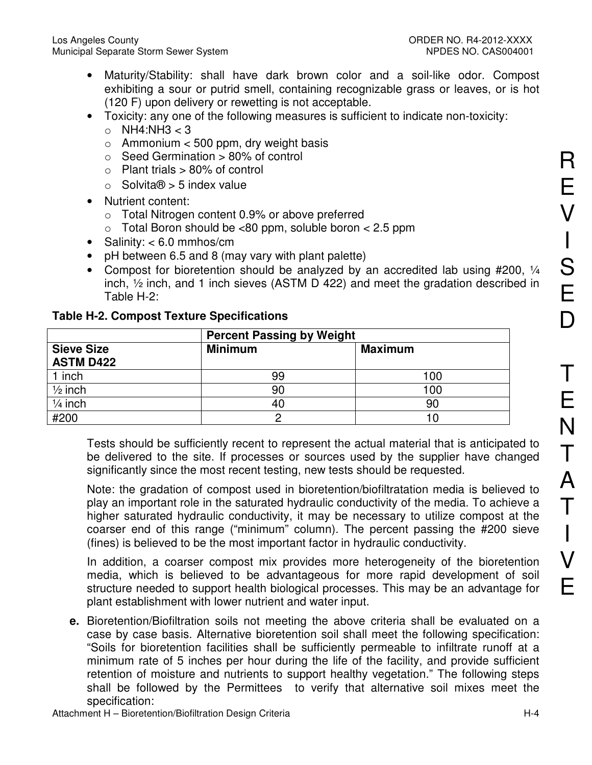- Maturity/Stability: shall have dark brown color and a soil-like odor. Compost exhibiting a sour or putrid smell, containing recognizable grass or leaves, or is hot (120 F) upon delivery or rewetting is not acceptable.
- Toxicity: any one of the following measures is sufficient to indicate non-toxicity:
	- $\circ$  NH4:NH3 < 3
	- $\circ$  Ammonium < 500 ppm, dry weight basis
	- $\circ$  Seed Germination  $> 80\%$  of control
	- $\circ$  Plant trials  $> 80\%$  of control
	- $\circ$  Solvita $\odot$  > 5 index value
- Nutrient content:
	- o Total Nitrogen content 0.9% or above preferred
	- $\circ$  Total Boron should be <80 ppm, soluble boron < 2.5 ppm
- Salinity: < 6.0 mmhos/cm
- pH between 6.5 and 8 (may vary with plant palette)
- Compost for bioretention should be analyzed by an accredited lab using #200, 1/4 inch, ½ inch, and 1 inch sieves (ASTM D 422) and meet the gradation described in Table H-2:

|                                       | <b>Percent Passing by Weight</b> |                |  |
|---------------------------------------|----------------------------------|----------------|--|
| <b>Sieve Size</b><br><b>ASTM D422</b> | <b>Minimum</b>                   | <b>Maximum</b> |  |
| 1 inch                                | 99                               | 100            |  |
| $\frac{1}{2}$ inch                    | 90                               | 100            |  |
| $\frac{1}{4}$ inch                    | 40                               | 90             |  |
| #200                                  |                                  | 10             |  |

|  | <b>Table H-2. Compost Texture Specifications</b> |
|--|--------------------------------------------------|
|  |                                                  |

Tests should be sufficiently recent to represent the actual material that is anticipated to be delivered to the site. If processes or sources used by the supplier have changed significantly since the most recent testing, new tests should be requested.

Note: the gradation of compost used in bioretention/biofiltratation media is believed to play an important role in the saturated hydraulic conductivity of the media. To achieve a higher saturated hydraulic conductivity, it may be necessary to utilize compost at the coarser end of this range ("minimum" column). The percent passing the #200 sieve (fines) is believed to be the most important factor in hydraulic conductivity.

In addition, a coarser compost mix provides more heterogeneity of the bioretention media, which is believed to be advantageous for more rapid development of soil structure needed to support health biological processes. This may be an advantage for plant establishment with lower nutrient and water input.

**e.** Bioretention/Biofiltration soils not meeting the above criteria shall be evaluated on a case by case basis. Alternative bioretention soil shall meet the following specification: "Soils for bioretention facilities shall be sufficiently permeable to infiltrate runoff at a minimum rate of 5 inches per hour during the life of the facility, and provide sufficient retention of moisture and nutrients to support healthy vegetation." The following steps shall be followed by the Permittees to verify that alternative soil mixes meet the specification:

R

E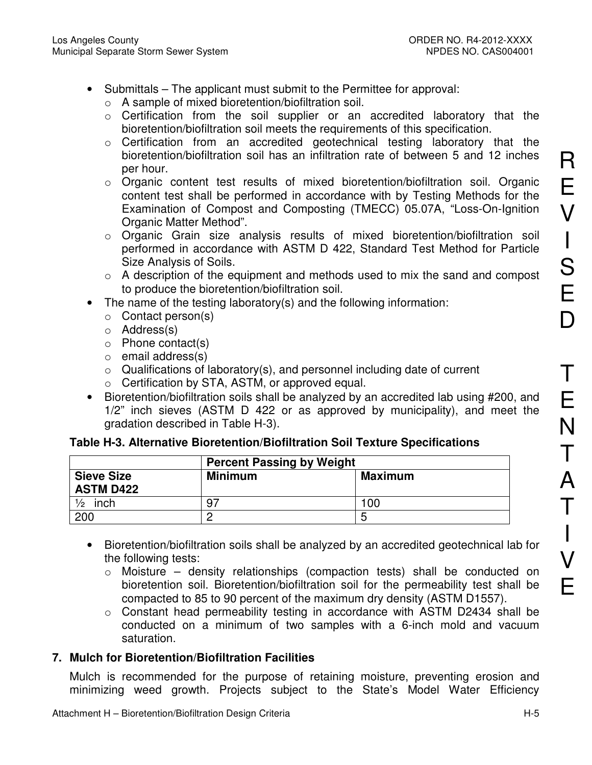- Submittals The applicant must submit to the Permittee for approval:
	- o A sample of mixed bioretention/biofiltration soil.
	- o Certification from the soil supplier or an accredited laboratory that the bioretention/biofiltration soil meets the requirements of this specification.
	- o Certification from an accredited geotechnical testing laboratory that the bioretention/biofiltration soil has an infiltration rate of between 5 and 12 inches per hour.
	- o Organic content test results of mixed bioretention/biofiltration soil. Organic content test shall be performed in accordance with by Testing Methods for the Examination of Compost and Composting (TMECC) 05.07A, "Loss-On-Ignition Organic Matter Method".
	- o Organic Grain size analysis results of mixed bioretention/biofiltration soil performed in accordance with ASTM D 422, Standard Test Method for Particle Size Analysis of Soils.
	- $\circ$  A description of the equipment and methods used to mix the sand and compost to produce the bioretention/biofiltration soil.
- The name of the testing laboratory(s) and the following information:
	- o Contact person(s)
	- o Address(s)
	- o Phone contact(s)
	- o email address(s)
	- $\circ$  Qualifications of laboratory(s), and personnel including date of current
	- o Certification by STA, ASTM, or approved equal.
- Bioretention/biofiltration soils shall be analyzed by an accredited lab using #200, and 1/2" inch sieves (ASTM D 422 or as approved by municipality), and meet the gradation described in Table H-3).

# **Table H-3. Alternative Bioretention/Biofiltration Soil Texture Specifications**

|                                       | <b>Percent Passing by Weight</b> |                |  |
|---------------------------------------|----------------------------------|----------------|--|
| <b>Sieve Size</b><br><b>ASTM D422</b> | <b>Minimum</b>                   | <b>Maximum</b> |  |
| $\frac{1}{2}$<br>inch                 | 97                               | 100            |  |
| 200                                   |                                  |                |  |

- Bioretention/biofiltration soils shall be analyzed by an accredited geotechnical lab for the following tests:
	- o Moisture density relationships (compaction tests) shall be conducted on bioretention soil. Bioretention/biofiltration soil for the permeability test shall be compacted to 85 to 90 percent of the maximum dry density (ASTM D1557).
	- o Constant head permeability testing in accordance with ASTM D2434 shall be conducted on a minimum of two samples with a 6-inch mold and vacuum saturation.

# **7. Mulch for Bioretention/Biofiltration Facilities**

Mulch is recommended for the purpose of retaining moisture, preventing erosion and minimizing weed growth. Projects subject to the State's Model Water Efficiency R

E

V